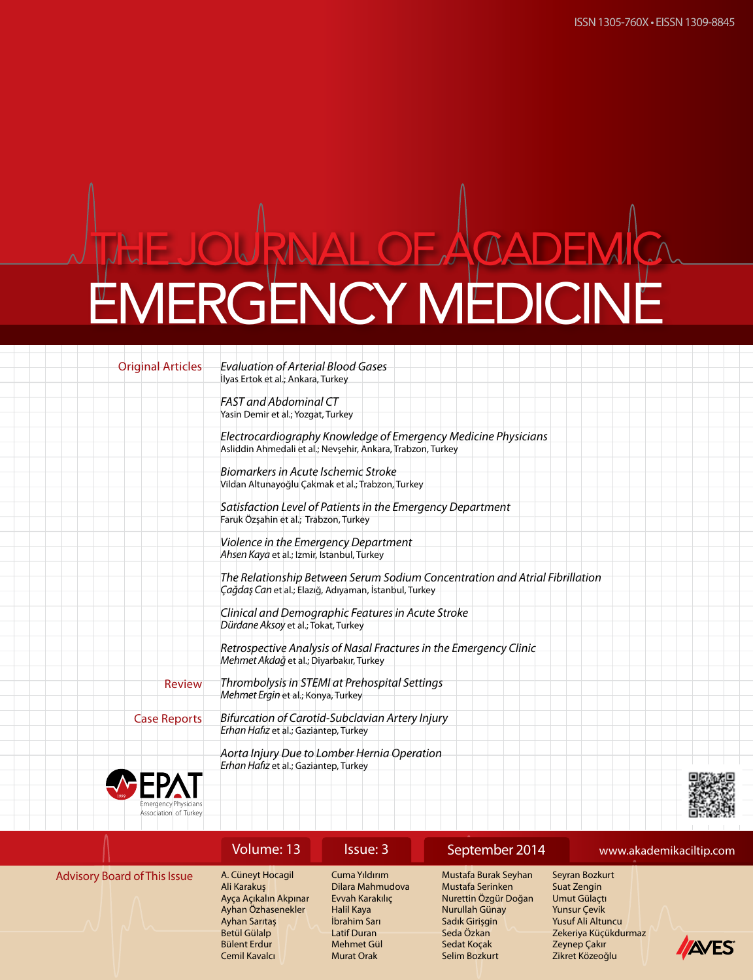Original Articles *Evaluation of Arterial Blood Gases* İlyas Ertok et al.; Ankara, Turkey

> *FAST and Abdominal CT* Yasin Demir et al.; Yozgat, Turkey

*Electrocardiography Knowledge of Emergency Medicine Physicians* Asliddin Ahmedali et al.; Nevşehir, Ankara, Trabzon, Turkey

*Biomarkers in Acute Ischemic Stroke* Vildan Altunayoğlu Çakmak et al.; Trabzon, Turkey

*Satisfaction Level of Patients in the Emergency Department* Faruk Özşahin et al.; Trabzon, Turkey

*Violence in the Emergency Department Ahsen Kaya* et al.; Izmir, Istanbul, Turkey

*The Relationship Between Serum Sodium Concentration and Atrial Fibrillation Çağdaş Can* et al.; Elazığ, Adıyaman, İstanbul, Turkey

*Clinical and Demographic Features in Acute Stroke Dürdane Aksoy* et al.; Tokat, Turkey

*Retrospective Analysis of Nasal Fractures in the Emergency Clinic Mehmet Akdağ* et al.; Diyarbakır, Turkey

*Thrombolysis in STEMI at Prehospital Settings Mehmet Ergin* et al.; Konya, Turkey Review

Case Reports

*Bifurcation of Carotid-Subclavian Artery Injury Erhan Hafız* et al.; Gaziantep, Turkey

*Aorta Injury Due to Lomber Hernia Operation Erhan Hafız* et al.; Gaziantep, Turkey





|                                     | Volume: 13                                                                                       | Issue: 3                                                                           | September 2014                                                                                       |                                                                                                  | www.akademikaciltip.com |
|-------------------------------------|--------------------------------------------------------------------------------------------------|------------------------------------------------------------------------------------|------------------------------------------------------------------------------------------------------|--------------------------------------------------------------------------------------------------|-------------------------|
| <b>Advisory Board of This Issue</b> | A. Cüneyt Hocagil<br>Ali Karakus<br>Ayça Açıkalın Akpınar<br>Ayhan Özhasenekler<br>Ayhan Sarıtaş | Cuma Yıldırım<br>Dilara Mahmudova<br>Evvah Karakılıç<br>Halil Kaya<br>İbrahim Sarı | Mustafa Burak Seyhan<br>Mustafa Serinken<br>Nurettin Özgür Doğan<br>Nurullah Günay<br>Sadık Girişgin | Seyran Bozkurt<br>Suat Zengin<br>Umut Gülactı<br><b>Yunsur Cevik</b><br><b>Yusuf Ali Altuncu</b> |                         |
|                                     | Betül Gülalp<br>Bülent Erdur<br>Cemil Kavalcı                                                    | Latif Duran<br>Mehmet Gül<br><b>Murat Orak</b>                                     | Seda Özkan<br>Sedat Kocak<br>Selim Bozkurt                                                           | Zekeriya Küçükdurmaz<br>Zeynep Çakır<br>Zikret Közeoğlu                                          | <b>INES</b>             |

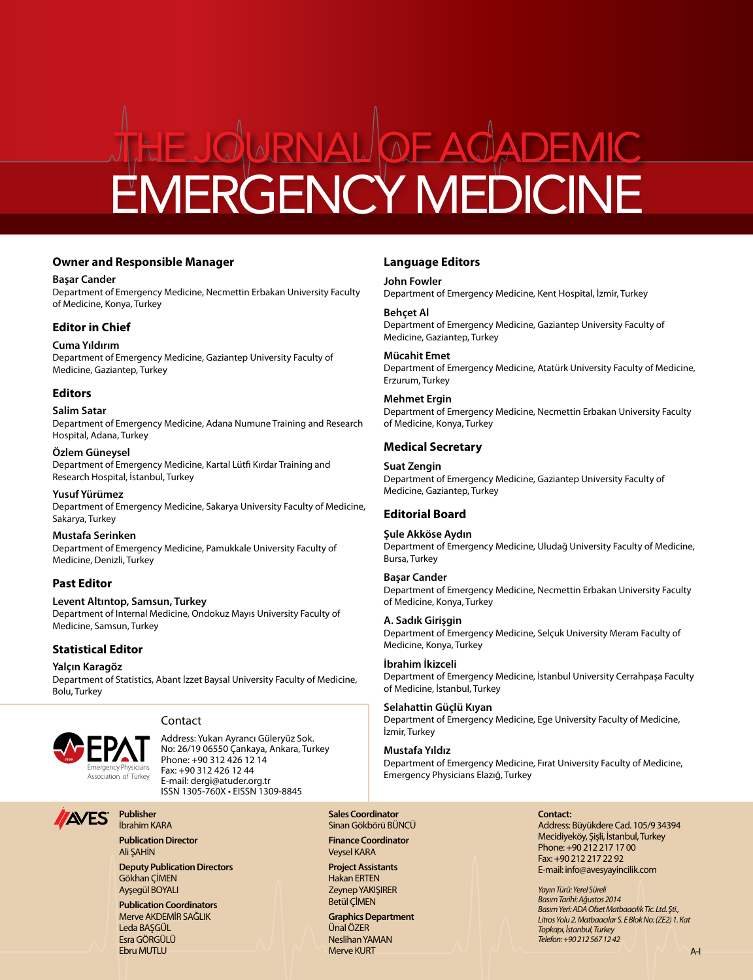#### **Owner and Responsible Manager**

#### **Başar Cander**

Department of Emergency Medicine, Necmettin Erbakan University Faculty of Medicine, Konya, Turkey

## **Editor in Chief**

### **Cuma Yıldırım**

Department of Emergency Medicine, Gaziantep University Faculty of Medicine, Gaziantep, Turkey

### **Editors**

#### **Salim Satar**

Department of Emergency Medicine, Adana Numune Training and Research Hospital, Adana, Turkey

#### **Özlem Güneysel**

Department of Emergency Medicine, Kartal Lütfi Kırdar Training and Research Hospital, İstanbul, Turkey

**Yusuf Yürümez** Department of Emergency Medicine, Sakarya University Faculty of Medicine, Sakarya, Turkey

**Mustafa Serinken** Department of Emergency Medicine, Pamukkale University Faculty of Medicine, Denizli, Turkey

### **Past Editor**

#### **Levent Altıntop, Samsun, Turkey** Department of Internal Medicine, Ondokuz Mayıs University Faculty of Medicine, Samsun, Turkey

## **Statistical Editor**

**Yalçın Karagöz** Department of Statistics, Abant İzzet Baysal University Faculty of Medicine, Bolu, Turkey



### **Contact**

Address: Yukarı Ayrancı Güleryüz Sok. No: 26/19 06550 Çankaya, Ankara, Turkey Phone: +90 312 426 12 14 Fax: +90 312 426 12 44 E-mail: dergi@atuder.org.tr ISSN 1305-760X • EISSN 1309-8845

## **Language Editors**

### **John Fowler**

Department of Emergency Medicine, Kent Hospital, İzmir, Turkey

### **Behçet Al**

Department of Emergency Medicine, Gaziantep University Faculty of Medicine, Gaziantep, Turkey

#### **Mücahit Emet**

Department of Emergency Medicine, Atatürk University Faculty of Medicine, Erzurum, Turkey

#### **Mehmet Ergin**

Department of Emergency Medicine, Necmettin Erbakan University Faculty of Medicine, Konya, Turkey

## **Medical Secretary**

#### **Suat Zengin**

Department of Emergency Medicine, Gaziantep University Faculty of Medicine, Gaziantep, Turkey

## **Editorial Board**

#### **Şule Akköse Aydın**

Department of Emergency Medicine, Uludağ University Faculty of Medicine, Bursa, Turkey

### **Başar Cander**

Department of Emergency Medicine, Necmettin Erbakan University Faculty of Medicine, Konya, Turkey

#### **A. Sadık Girişgin**

Department of Emergency Medicine, Selçuk University Meram Faculty of Medicine, Konya, Turkey

#### **İbrahim İkizceli**

Department of Emergency Medicine, İstanbul University Cerrahpaşa Faculty of Medicine, İstanbul, Turkey

#### **Selahattin Güçlü Kıyan**

Department of Emergency Medicine, Ege University Faculty of Medicine, İzmir, Turkey

### **Mustafa Yıldız**

Department of Emergency Medicine, Fırat University Faculty of Medicine, Emergency Physicians Elazığ, Turkey

**Publication Director** Ali ŞAHİN

**Publisher**  İbrahim KARA

**Deputy Publication Directors**  Gökhan ÇİMEN Ayşegül BOYALI

**Publication Coordinators** Merve AKDEMİR SAĞLIK Leda BAŞGÜL Esra GÖRGÜLÜ Ebru MUTLU

## **Sales Coordinator** Sinan Gökbörü BÜNCÜ

**Finance Coordinator** Veysel KARA

**Project Assistants** Hakan ERTEN Zeynep YAKIŞIRER Betül ÇİMEN

**Graphics Department** Ünal ÖZER Neslihan YAMAN Merve KURT

## **Contact:**

Address: Büyükdere Cad. 105/9 34394 Mecidiyeköy, Şişli, İstanbul, Turkey Phone: +90 212 217 17 00 Fax: +90 212 217 22 92 E-mail: info@avesyayincilik.com

*Yayın Türü: Yerel Süreli Basım Tarihi: Ağustos 2014 Basım Yeri: ADA Ofset Matbaacılık Tic. Ltd. Şti., Litros Yolu 2. Matbaacılar S. E Blok No: (ZE2) 1. Kat Topkapı, İstanbul, Turkey Telefon: +90 212 567 12 42*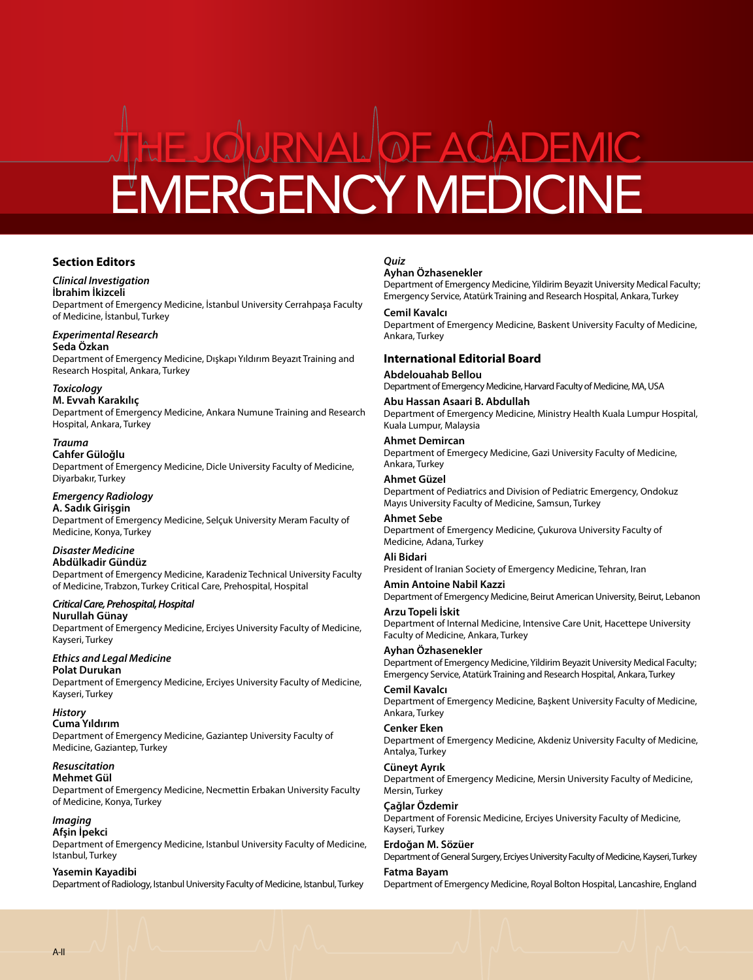### **Section Editors**

#### *Clinical Investigation*

#### **İbrahim İkizceli**

Department of Emergency Medicine, İstanbul University Cerrahpaşa Faculty of Medicine, İstanbul, Turkey

#### *Experimental Research*

**Seda Özkan** 

Department of Emergency Medicine, Dışkapı Yıldırım Beyazıt Training and Research Hospital, Ankara, Turkey

#### *Toxicology*

**M. Evvah Karakılıç**

Department of Emergency Medicine, Ankara Numune Training and Research Hospital, Ankara, Turkey

#### *Trauma*

**Cahfer Güloğlu** Department of Emergency Medicine, Dicle University Faculty of Medicine, Diyarbakır, Turkey

### *Emergency Radiology*

**A. Sadık Girişgin** Department of Emergency Medicine, Selçuk University Meram Faculty of Medicine, Konya, Turkey

#### *Disaster Medicine* **Abdülkadir Gündüz**

Department of Emergency Medicine, Karadeniz Technical University Faculty of Medicine, Trabzon, Turkey Critical Care, Prehospital, Hospital

#### *Critical Care, Prehospital, Hospital* **Nurullah Günay**

Department of Emergency Medicine, Erciyes University Faculty of Medicine, Kayseri, Turkey

#### *Ethics and Legal Medicine* **Polat Durukan**

Department of Emergency Medicine, Erciyes University Faculty of Medicine, Kayseri, Turkey

## *History*

**Cuma Yıldırım** Department of Emergency Medicine, Gaziantep University Faculty of Medicine, Gaziantep, Turkey

### *Resuscitation*

**Mehmet Gül**

Department of Emergency Medicine, Necmettin Erbakan University Faculty of Medicine, Konya, Turkey

#### *Imaging*

**Afşin İpekci** Department of Emergency Medicine, Istanbul University Faculty of Medicine, Istanbul, Turkey

#### **Yasemin Kayadibi**

Department of Radiology, Istanbul University Faculty of Medicine, Istanbul, Turkey

## *Quiz*

#### **Ayhan Özhasenekler**

Department of Emergency Medicine, Yildirim Beyazit University Medical Faculty; Emergency Service, Atatürk Training and Research Hospital, Ankara, Turkey

#### **Cemil Kavalcı**

Department of Emergency Medicine, Baskent University Faculty of Medicine, Ankara, Turkey

### **International Editorial Board**

#### **Abdelouahab Bellou**

Department of Emergency Medicine, Harvard Faculty of Medicine, MA, USA

**Abu Hassan Asaari B. Abdullah** Department of Emergency Medicine, Ministry Health Kuala Lumpur Hospital, Kuala Lumpur, Malaysia

#### **Ahmet Demircan**

Department of Emergecy Medicine, Gazi University Faculty of Medicine, Ankara, Turkey

#### **Ahmet Güzel**

Department of Pediatrics and Division of Pediatric Emergency, Ondokuz Mayıs University Faculty of Medicine, Samsun, Turkey

## **Ahmet Sebe**

Department of Emergency Medicine, Çukurova University Faculty of Medicine, Adana, Turkey

## **Ali Bidari**

President of Iranian Society of Emergency Medicine, Tehran, Iran

**Amin Antoine Nabil Kazzi** Department of Emergency Medicine, Beirut American University, Beirut, Lebanon

**Arzu Topeli İskit** Department of Internal Medicine, Intensive Care Unit, Hacettepe University Faculty of Medicine, Ankara, Turkey

## **Ayhan Özhasenekler**

Department of Emergency Medicine, Yildirim Beyazit University Medical Faculty; Emergency Service, Atatürk Training and Research Hospital, Ankara, Turkey

**Cemil Kavalcı** Department of Emergency Medicine, Başkent University Faculty of Medicine, Ankara, Turkey

#### **Cenker Eken**

Department of Emergency Medicine, Akdeniz University Faculty of Medicine, Antalya, Turkey

#### **Cüneyt Ayrık**

Department of Emergency Medicine, Mersin University Faculty of Medicine, Mersin, Turkey

## **Çağlar Özdemir**

Department of Forensic Medicine, Erciyes University Faculty of Medicine, Kayseri, Turkey

#### **Erdoğan M. Sözüer** Department of General Surgery, Erciyes University Faculty of Medicine, Kayseri, Turkey **Fatma Bayam**

Department of Emergency Medicine, Royal Bolton Hospital, Lancashire, England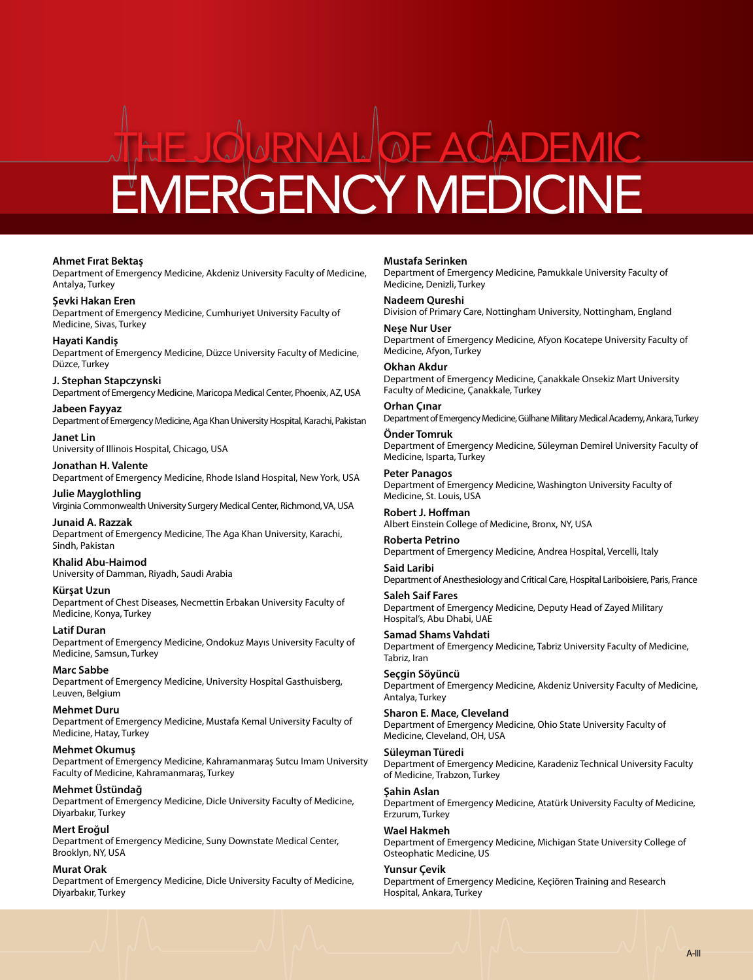#### **Ahmet Fırat Bektaş**

Department of Emergency Medicine, Akdeniz University Faculty of Medicine, Antalya, Turkey

**Şevki Hakan Eren** Department of Emergency Medicine, Cumhuriyet University Faculty of Medicine, Sivas, Turkey

**Hayati Kandiş**

Department of Emergency Medicine, Düzce University Faculty of Medicine, Düzce, Turkey

**J. Stephan Stapczynski** Department of Emergency Medicine, Maricopa Medical Center, Phoenix, AZ, USA

**Jabeen Fayyaz** Department of Emergency Medicine, Aga Khan University Hospital, Karachi, Pakistan

**Janet Lin** University of Illinois Hospital, Chicago, USA

**Jonathan H. Valente** Department of Emergency Medicine, Rhode Island Hospital, New York, USA

**Julie Mayglothling** Virginia Commonwealth University Surgery Medical Center, Richmond, VA, USA

**Junaid A. Razzak** Department of Emergency Medicine, The Aga Khan University, Karachi, Sindh, Pakistan

#### **Khalid Abu-Haimod**

University of Damman, Riyadh, Saudi Arabia

**Kürşat Uzun** Department of Chest Diseases, Necmettin Erbakan University Faculty of Medicine, Konya, Turkey

**Latif Duran** Department of Emergency Medicine, Ondokuz Mayıs University Faculty of Medicine, Samsun, Turkey

**Marc Sabbe**

Department of Emergency Medicine, University Hospital Gasthuisberg, Leuven, Belgium

**Mehmet Duru** Department of Emergency Medicine, Mustafa Kemal University Faculty of Medicine, Hatay, Turkey

**Mehmet Okumuş** Department of Emergency Medicine, Kahramanmaraş Sutcu Imam University Faculty of Medicine, Kahramanmaraş, Turkey

**Mehmet Üstündağ**

Department of Emergency Medicine, Dicle University Faculty of Medicine, Diyarbakır, Turkey

**Mert Eroğul**

Department of Emergency Medicine, Suny Downstate Medical Center, Brooklyn, NY, USA

**Murat Orak**

Department of Emergency Medicine, Dicle University Faculty of Medicine, Diyarbakır, Turkey

**Mustafa Serinken**

Department of Emergency Medicine, Pamukkale University Faculty of Medicine, Denizli, Turkey

**Nadeem Qureshi** Division of Primary Care, Nottingham University, Nottingham, England

**Neşe Nur User** Department of Emergency Medicine, Afyon Kocatepe University Faculty of Medicine, Afyon, Turkey

**Okhan Akdur** Department of Emergency Medicine, Çanakkale Onsekiz Mart University Faculty of Medicine, Çanakkale, Turkey

**Orhan Çınar** Department of Emergency Medicine, Gülhane Military Medical Academy, Ankara, Turkey

**Önder Tomruk** Department of Emergency Medicine, Süleyman Demirel University Faculty of Medicine, Isparta, Turkey

**Peter Panagos** Department of Emergency Medicine, Washington University Faculty of Medicine, St. Louis, USA

**Robert J. Hoffman** Albert Einstein College of Medicine, Bronx, NY, USA

**Roberta Petrino** Department of Emergency Medicine, Andrea Hospital, Vercelli, Italy

**Said Laribi** Department of Anesthesiology and Critical Care, Hospital Lariboisiere, Paris, France

**Saleh Saif Fares** Department of Emergency Medicine, Deputy Head of Zayed Military Hospital's, Abu Dhabi, UAE

**Samad Shams Vahdati** Department of Emergency Medicine, Tabriz University Faculty of Medicine, Tabriz, Iran

**Seçgin Söyüncü** Department of Emergency Medicine, Akdeniz University Faculty of Medicine, Antalya, Turkey

**Sharon E. Mace, Cleveland** Department of Emergency Medicine, Ohio State University Faculty of Medicine, Cleveland, OH, USA

**Süleyman Türedi** Department of Emergency Medicine, Karadeniz Technical University Faculty of Medicine, Trabzon, Turkey

**Şahin Aslan**

Department of Emergency Medicine, Atatürk University Faculty of Medicine, Erzurum, Turkey

**Wael Hakmeh**

Department of Emergency Medicine, Michigan State University College of Osteophatic Medicine, US

**Yunsur Çevik**

Department of Emergency Medicine, Keçiören Training and Research Hospital, Ankara, Turkey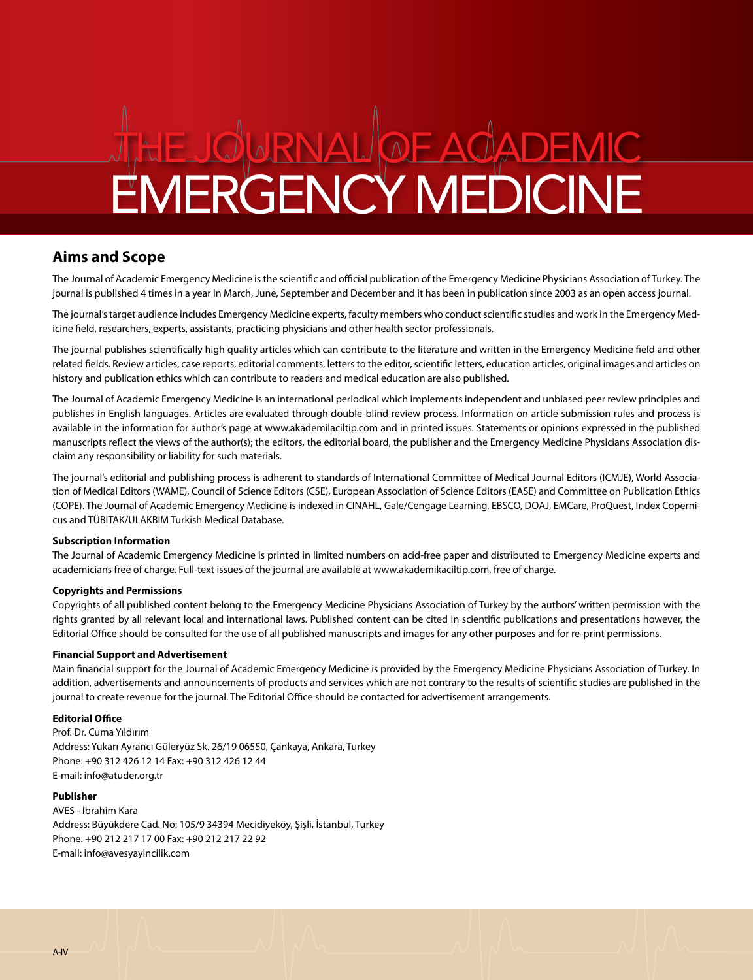## **Aims and Scope**

The Journal of Academic Emergency Medicine is the scientific and official publication of the Emergency Medicine Physicians Association of Turkey. The journal is published 4 times in a year in March, June, September and December and it has been in publication since 2003 as an open access journal.

The journal's target audience includes Emergency Medicine experts, faculty members who conduct scientific studies and work in the Emergency Medicine field, researchers, experts, assistants, practicing physicians and other health sector professionals.

The journal publishes scientifically high quality articles which can contribute to the literature and written in the Emergency Medicine field and other related fields. Review articles, case reports, editorial comments, letters to the editor, scientific letters, education articles, original images and articles on history and publication ethics which can contribute to readers and medical education are also published.

The Journal of Academic Emergency Medicine is an international periodical which implements independent and unbiased peer review principles and publishes in English languages. Articles are evaluated through double-blind review process. Information on article submission rules and process is available in the information for author's page at www.akademilaciltip.com and in printed issues. Statements or opinions expressed in the published manuscripts reflect the views of the author(s); the editors, the editorial board, the publisher and the Emergency Medicine Physicians Association disclaim any responsibility or liability for such materials.

The journal's editorial and publishing process is adherent to standards of International Committee of Medical Journal Editors (ICMJE), World Association of Medical Editors (WAME), Council of Science Editors (CSE), European Association of Science Editors (EASE) and Committee on Publication Ethics (COPE). The Journal of Academic Emergency Medicine is indexed in CINAHL, Gale/Cengage Learning, EBSCO, DOAJ, EMCare, ProQuest, Index Copernicus and TÜBİTAK/ULAKBİM Turkish Medical Database.

#### **Subscription Information**

The Journal of Academic Emergency Medicine is printed in limited numbers on acid-free paper and distributed to Emergency Medicine experts and academicians free of charge. Full-text issues of the journal are available at www.akademikaciltip.com, free of charge.

#### **Copyrights and Permissions**

Copyrights of all published content belong to the Emergency Medicine Physicians Association of Turkey by the authors' written permission with the rights granted by all relevant local and international laws. Published content can be cited in scientific publications and presentations however, the Editorial Office should be consulted for the use of all published manuscripts and images for any other purposes and for re-print permissions.

#### **Financial Support and Advertisement**

Main financial support for the Journal of Academic Emergency Medicine is provided by the Emergency Medicine Physicians Association of Turkey. In addition, advertisements and announcements of products and services which are not contrary to the results of scientific studies are published in the journal to create revenue for the journal. The Editorial Office should be contacted for advertisement arrangements.

#### **Editorial Office**

Prof. Dr. Cuma Yıldırım Address: Yukarı Ayrancı Güleryüz Sk. 26/19 06550, Çankaya, Ankara, Turkey Phone: +90 312 426 12 14 Fax: +90 312 426 12 44 E-mail: info@atuder.org.tr

#### **Publisher**

AVES - İbrahim Kara Address: Büyükdere Cad. No: 105/9 34394 Mecidiyeköy, Şişli, İstanbul, Turkey Phone: +90 212 217 17 00 Fax: +90 212 217 22 92 E-mail: info@avesyayincilik.com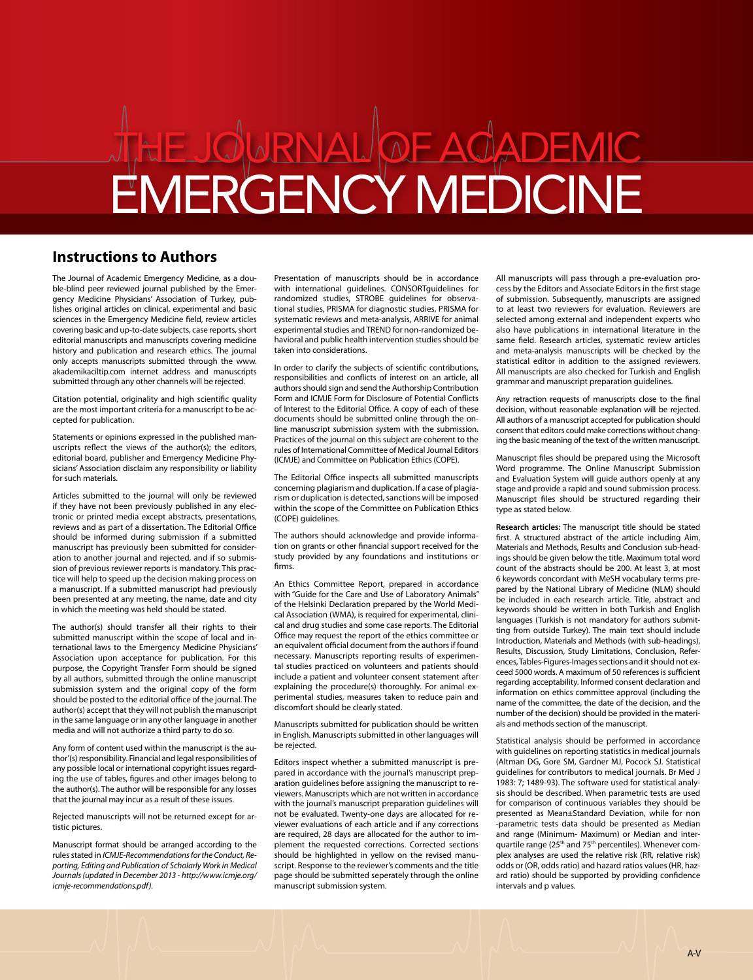## **Instructions to Authors**

The Journal of Academic Emergency Medicine, as a double-blind peer reviewed journal published by the Emergency Medicine Physicians' Association of Turkey, publishes original articles on clinical, experimental and basic sciences in the Emergency Medicine field, review articles covering basic and up-to-date subjects, case reports, short editorial manuscripts and manuscripts covering medicine history and publication and research ethics. The journal only accepts manuscripts submitted through the www. akademikaciltip.com internet address and manuscripts submitted through any other channels will be rejected.

Citation potential, originality and high scientific quality are the most important criteria for a manuscript to be accepted for publication.

Statements or opinions expressed in the published manuscripts reflect the views of the author(s); the editors, editorial board, publisher and Emergency Medicine Physicians' Association disclaim any responsibility or liability for such materials.

Articles submitted to the journal will only be reviewed if they have not been previously published in any electronic or printed media except abstracts, presentations, reviews and as part of a dissertation. The Editorial Office should be informed during submission if a submitted manuscript has previously been submitted for consideration to another journal and rejected, and if so submission of previous reviewer reports is mandatory. This practice will help to speed up the decision making process on a manuscript. If a submitted manuscript had previously been presented at any meeting, the name, date and city in which the meeting was held should be stated.

The author(s) should transfer all their rights to their submitted manuscript within the scope of local and international laws to the Emergency Medicine Physicians' Association upon acceptance for publication. For this purpose, the Copyright Transfer Form should be signed by all authors, submitted through the online manuscript submission system and the original copy of the form should be posted to the editorial office of the journal. The author(s) accept that they will not publish the manuscript in the same language or in any other language in another media and will not authorize a third party to do so.

Any form of content used within the manuscript is the author'(s) responsibility. Financial and legal responsibilities of any possible local or international copyright issues regarding the use of tables, figures and other images belong to the author(s). The author will be responsible for any losses that the journal may incur as a result of these issues.

Rejected manuscripts will not be returned except for artistic pictures.

Manuscript format should be arranged according to the rules stated in *ICMJE-Recommendations for the Conduct, Reporting, Editing and Publication of Scholarly Work in Medical Journals (updated in December 2013 - http://www.icmje.org/ icmje-recommendations.pdf).* 

Presentation of manuscripts should be in accordance with international guidelines. CONSORTguidelines for randomized studies, STROBE guidelines for observational studies, PRISMA for diagnostic studies, PRISMA for systematic reviews and meta-analysis, ARRIVE for animal experimental studies and TREND for non-randomized behavioral and public health intervention studies should be taken into considerations.

In order to clarify the subjects of scientific contributions, responsibilities and conflicts of interest on an article, all authors should sign and send the Authorship Contribution Form and ICMJE Form for Disclosure of Potential Conflicts of Interest to the Editorial Office. A copy of each of these documents should be submitted online through the online manuscript submission system with the submission. Practices of the journal on this subject are coherent to the rules of International Committee of Medical Journal Editors (ICMJE) and Committee on Publication Ethics (COPE).

The Editorial Office inspects all submitted manuscripts concerning plagiarism and duplication. If a case of plagiarism or duplication is detected, sanctions will be imposed within the scope of the Committee on Publication Ethics (COPE) guidelines.

The authors should acknowledge and provide information on grants or other financial support received for the study provided by any foundations and institutions or firms.

An Ethics Committee Report, prepared in accordance with "Guide for the Care and Use of Laboratory Animals" of the Helsinki Declaration prepared by the World Medical Association (WMA), is required for experimental, clinical and drug studies and some case reports. The Editorial Office may request the report of the ethics committee or an equivalent official document from the authors if found necessary. Manuscripts reporting results of experimental studies practiced on volunteers and patients should include a patient and volunteer consent statement after explaining the procedure(s) thoroughly. For animal experimental studies, measures taken to reduce pain and discomfort should be clearly stated.

Manuscripts submitted for publication should be written in English. Manuscripts submitted in other languages will be rejected.

Editors inspect whether a submitted manuscript is prepared in accordance with the journal's manuscript preparation guidelines before assigning the manuscript to reviewers. Manuscripts which are not written in accordance with the journal's manuscript preparation guidelines will not be evaluated. Twenty-one days are allocated for reviewer evaluations of each article and if any corrections are required, 28 days are allocated for the author to implement the requested corrections. Corrected sections should be highlighted in yellow on the revised manuscript. Response to the reviewer's comments and the title page should be submitted seperately through the online manuscript submission system.

All manuscripts will pass through a pre-evaluation process by the Editors and Associate Editors in the first stage of submission. Subsequently, manuscripts are assigned to at least two reviewers for evaluation. Reviewers are selected among external and independent experts who also have publications in international literature in the same field. Research articles, systematic review articles and meta-analysis manuscripts will be checked by the statistical editor in addition to the assigned reviewers. All manuscripts are also checked for Turkish and English grammar and manuscript preparation guidelines.

Any retraction requests of manuscripts close to the final decision, without reasonable explanation will be rejected. All authors of a manuscript accepted for publication should consent that editors could make corrections without changing the basic meaning of the text of the written manuscript.

Manuscript files should be prepared using the Microsoft Word programme. The Online Manuscript Submission and Evaluation System will guide authors openly at any stage and provide a rapid and sound submission process. Manuscript files should be structured regarding their type as stated below.

**Research articles:** The manuscript title should be stated first. A structured abstract of the article including Aim, Materials and Methods, Results and Conclusion sub-headings should be given below the title. Maximum total word count of the abstracts should be 200. At least 3, at most 6 keywords concordant with MeSH vocabulary terms prepared by the National Library of Medicine (NLM) should be included in each research article. Title, abstract and keywords should be written in both Turkish and English languages (Turkish is not mandatory for authors submitting from outside Turkey). The main text should include Introduction, Materials and Methods (with sub-headings), Results, Discussion, Study Limitations, Conclusion, References, Tables-Figures-Images sections and it should not exceed 5000 words. A maximum of 50 references is sufficient regarding acceptability. Informed consent declaration and information on ethics committee approval (including the name of the committee, the date of the decision, and the number of the decision) should be provided in the materials and methods section of the manuscript.

Statistical analysis should be performed in accordance with guidelines on reporting statistics in medical journals (Altman DG, Gore SM, Gardner MJ, Pocock SJ. Statistical guidelines for contributors to medical journals. Br Med J 1983: 7; 1489-93). The software used for statistical analysis should be described. When parametric tests are used for comparison of continuous variables they should be presented as Mean±Standard Deviation, while for non -parametric tests data should be presented as Median and range (Minimum- Maximum) or Median and interquartile range (25<sup>th</sup> and 75<sup>th</sup> percentiles). Whenever complex analyses are used the relative risk (RR, relative risk) odds or (OR, odds ratio) and hazard ratios values (HR, hazard ratio) should be supported by providing confidence intervals and p values.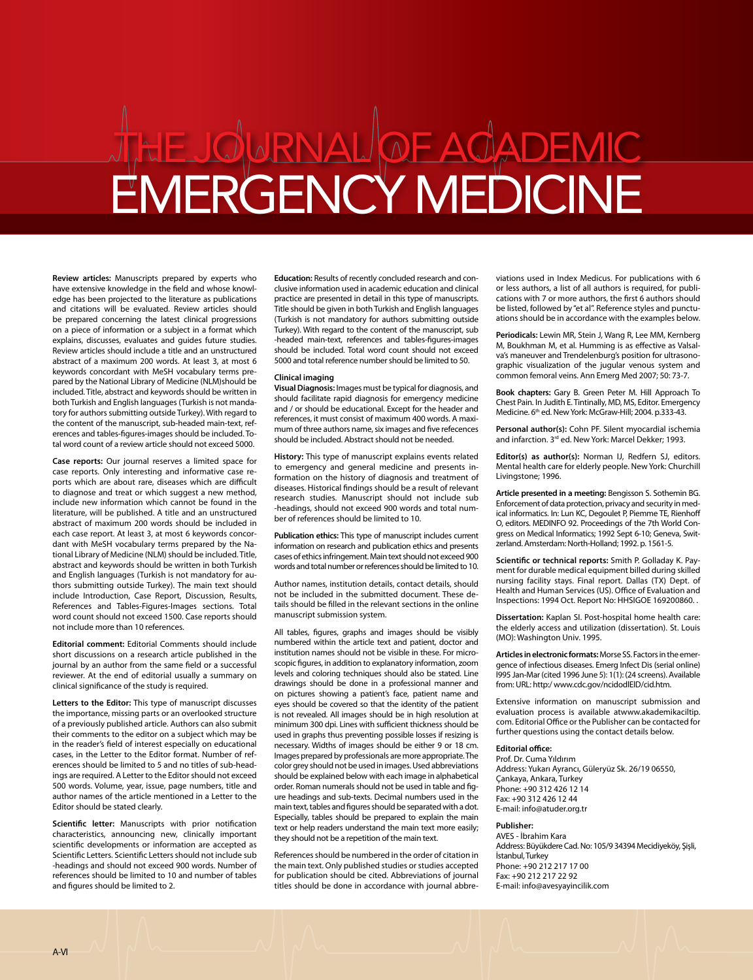**Review articles:** Manuscripts prepared by experts who have extensive knowledge in the field and whose knowledge has been projected to the literature as publications and citations will be evaluated. Review articles should be prepared concerning the latest clinical progressions on a piece of information or a subject in a format which explains, discusses, evaluates and guides future studies. Review articles should include a title and an unstructured abstract of a maximum 200 words. At least 3, at most 6 keywords concordant with MeSH vocabulary terms prepared by the National Library of Medicine (NLM)should be included. Title, abstract and keywords should be written in both Turkish and English languages (Turkish is not mandatory for authors submitting outside Turkey). With regard to the content of the manuscript, sub-headed main-text, references and tables-figures-images should be included. Total word count of a review article should not exceed 5000.

**Case reports:** Our journal reserves a limited space for case reports. Only interesting and informative case reports which are about rare, diseases which are difficult to diagnose and treat or which suggest a new method, include new information which cannot be found in the literature, will be published. A title and an unstructured abstract of maximum 200 words should be included in each case report. At least 3, at most 6 keywords concordant with MeSH vocabulary terms prepared by the National Library of Medicine (NLM) should be included. Title, abstract and keywords should be written in both Turkish and English languages (Turkish is not mandatory for authors submitting outside Turkey). The main text should include Introduction, Case Report, Discussion, Results, References and Tables-Figures-Images sections. Total word count should not exceed 1500. Case reports should not include more than 10 references.

**Editorial comment:** Editorial Comments should include short discussions on a research article published in the journal by an author from the same field or a successful reviewer. At the end of editorial usually a summary on clinical significance of the study is required.

**Letters to the Editor:** This type of manuscript discusses the importance, missing parts or an overlooked structure of a previously published article. Authors can also submit their comments to the editor on a subject which may be in the reader's field of interest especially on educational cases, in the Letter to the Editor format. Number of references should be limited to 5 and no titles of sub-headings are required. A Letter to the Editor should not exceed 500 words. Volume, year, issue, page numbers, title and author names of the article mentioned in a Letter to the Editor should be stated clearly.

**Scientific letter:** Manuscripts with prior notification characteristics, announcing new, clinically important scientific developments or information are accepted as Scientific Letters. Scientific Letters should not include sub -headings and should not exceed 900 words. Number of references should be limited to 10 and number of tables and figures should be limited to 2.

**Education:** Results of recently concluded research and conclusive information used in academic education and clinical practice are presented in detail in this type of manuscripts. Title should be given in both Turkish and English languages (Turkish is not mandatory for authors submitting outside Turkey). With regard to the content of the manuscript, sub -headed main-text, references and tables-figures-images should be included. Total word count should not exceed 5000 and total reference number should be limited to 50.

#### **Clinical imaging**

**Visual Diagnosis:** Images must be typical for diagnosis, and should facilitate rapid diagnosis for emergency medicine and / or should be educational. Except for the header and references, it must consist of maximum 400 words. A maximum of three authors name, six images and five refecences should be included. Abstract should not be needed.

**History:** This type of manuscript explains events related to emergency and general medicine and presents information on the history of diagnosis and treatment of diseases. Historical findings should be a result of relevant research studies. Manuscript should not include sub -headings, should not exceed 900 words and total number of references should be limited to 10.

**Publication ethics:** This type of manuscript includes current information on research and publication ethics and presents cases of ethics infringement. Main text should not exceed 900 words and total number or references should be limited to 10.

Author names, institution details, contact details, should not be included in the submitted document. These details should be filled in the relevant sections in the online manuscript submission system.

All tables, figures, graphs and images should be visibly numbered within the article text and patient, doctor and institution names should not be visible in these. For microscopic figures, in addition to explanatory information, zoom levels and coloring techniques should also be stated. Line drawings should be done in a professional manner and on pictures showing a patient's face, patient name and eyes should be covered so that the identity of the patient is not revealed. All images should be in high resolution at minimum 300 dpi. Lines with sufficient thickness should be used in graphs thus preventing possible losses if resizing is necessary. Widths of images should be either 9 or 18 cm. Images prepared by professionals are more appropriate. The color grey should not be used in images. Used abbreviations should be explained below with each image in alphabetical order. Roman numerals should not be used in table and figure headings and sub-texts. Decimal numbers used in the main text, tables and figures should be separated with a dot. Especially, tables should be prepared to explain the main text or help readers understand the main text more easily; they should not be a repetition of the main text.

References should be numbered in the order of citation in the main text. Only published studies or studies accepted for publication should be cited. Abbreviations of journal titles should be done in accordance with journal abbreviations used in Index Medicus. For publications with 6 or less authors, a list of all authors is required, for publications with 7 or more authors, the first 6 authors should be listed, followed by "et al". Reference styles and punctuations should be in accordance with the examples below.

**Periodicals:** Lewin MR, Stein J, Wang R, Lee MM, Kernberg M, Boukhman M, et al. Humming is as effective as Valsalva's maneuver and Trendelenburg's position for ultrasonographic visualization of the jugular venous system and common femoral veins. Ann Emerg Med 2007; 50: 73-7.

**Book chapters:** Gary B. Green Peter M. Hill Approach To Chest Pain. In Judith E. Tintinally, MD, MS, Editor. Emergency Medicine. 6th ed. New York: McGraw-Hill; 2004. p.333-43.

**Personal author(s):** Cohn PF. Silent myocardial ischemia and infarction. 3rd ed. New York: Marcel Dekker; 1993.

**Editor(s) as author(s):** Norman IJ, Redfern SJ, editors. Mental health care for elderly people. New York: Churchill Livingstone; 1996.

**Article presented in a meeting:** Bengisson S. Sothemin BG. Enforcement of data protection, privacy and security in medical informatics. In: Lun KC, Degoulet P, Piemme TE, Rienhoff O, editors. MEDINFO 92. Proceedings of the 7th World Congress on Medical Informatics; 1992 Sept 6-10; Geneva, Switzerland. Amsterdam: North-Holland; 1992. p. 1561-5.

**Scientific or technical reports:** Smith P. Golladay K. Payment for durable medical equipment billed during skilled nursing facility stays. Final report. Dallas (TX) Dept. of Health and Human Services (US). Office of Evaluation and Inspections: 1994 Oct. Report No: HHSIGOE 169200860. .

**Dissertation:** Kaplan SI. Post-hospital home health care: the elderly access and utilization (dissertation). St. Louis (MO): Washington Univ. 1995.

**Articles in electronic formats:** Morse SS. Factors in the emergence of infectious diseases. Emerg Infect Dis (serial online) l995 Jan-Mar (cited 1996 June 5): 1(1): (24 screens). Available from: URL: http:/ www.cdc.gov/ncidodlElD/cid.htm.

Extensive information on manuscript submission and evaluation process is available atwww.akademikaciltip. com. Editorial Office or the Publisher can be contacted for further questions using the contact details below.

#### **Editorial office:**

Prof. Dr. Cuma Yıldırım Address: Yukarı Ayrancı, Güleryüz Sk. 26/19 06550, Çankaya, Ankara, Turkey Phone: +90 312 426 12 14 Fax: +90 312 426 12 44 E-mail: info@atuder.org.tr

#### **Publisher:**

AVES - İbrahim Kara Address: Büyükdere Cad. No: 105/9 34394 Mecidiyeköy, Şişli, İstanbul, Turkey Phone: +90 212 217 17 00 Fax: +90 212 217 22 92 E-mail: info@avesyayincilik.com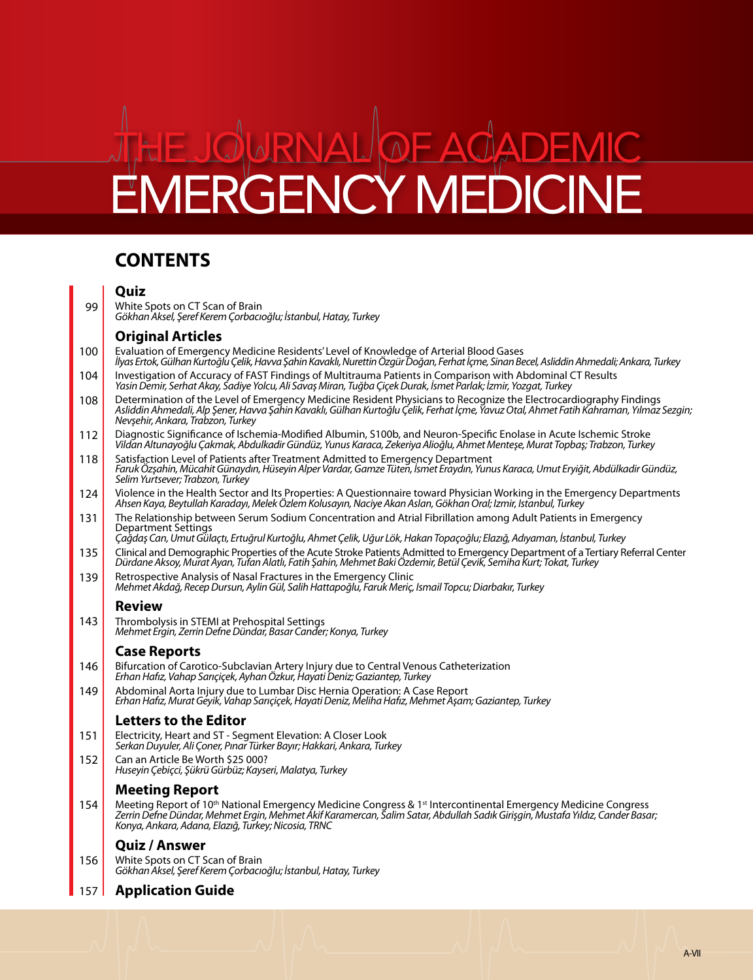## **CONTENTS**

## **Quiz**

White Spots on CT Scan of Brain *Gökhan Aksel, Şeref Kerem Çorbacıoğlu; İstanbul, Hatay, Turkey* 99

## **Original Articles**

- Evaluation of Emergency Medicine Residents' Level of Knowledge of Arterial Blood Gases *İlyas Ertok, Gülhan Kurtoğlu Çelik, Havva Şahin Kavaklı, Nurettin Özgür Doğan, Ferhat İçme, Sinan Becel, Asliddin Ahmedali; Ankara, Turkey* 100
- Investigation of Accuracy of FAST Findings of Multitrauma Patients in Comparison with Abdominal CT Results *Yasin Demir, Serhat Akay, Sadiye Yolcu, Ali Savaş Miran, Tuğba Çiçek Durak, İsmet Parlak; İzmir, Yozgat, Turkey* 104
- Determination of the Level of Emergency Medicine Resident Physicians to Recognize the Electrocardiography Findings *Asliddin Ahmedali, Alp Şener, Havva Şahin Kavaklı, Gülhan Kurtoğlu Çelik, Ferhat İçme, Yavuz Otal, Ahmet Fatih Kahraman, Yılmaz Sezgin; Nevşehir, Ankara, Trabzon, Turkey* 108
- Diagnostic Significance of Ischemia-Modified Albumin, S100b, and Neuron-Specific Enolase in Acute Ischemic Stroke *Vildan Altunayoğlu Çakmak, Abdulkadir Gündüz, Yunus Karaca, Zekeriya Alioğlu, Ahmet Menteşe, Murat Topbaş; Trabzon, Turkey* 112
- Satisfaction Level of Patients after Treatment Admitted to Emergency Department *Faruk Özşahin, Mücahit Günaydın, Hüseyin Alper Vardar, Gamze Tüten, İsmet Eraydın, Yunus Karaca, Umut Eryiğit, Abdülkadir Gündüz, Selim Yurtsever; Trabzon, Turkey* 118
- Violence in the Health Sector and Its Properties: A Questionnaire toward Physician Working in the Emergency Departments *Ahsen Kaya, Beytullah Karadayı, Melek Özlem Kolusayın, Naciye Akan Aslan, Gökhan Oral; Izmir, Istanbul, Turkey* 124
- The Relationship between Serum Sodium Concentration and Atrial Fibrillation among Adult Patients in Emergency Department Settings 131

*Çağdaş Can, Umut Gülaçtı, Ertuğrul Kurtoğlu, Ahmet Çelik, Uğur Lök, Hakan Topaçoğlu; Elazığ, Adıyaman, İstanbul, Turkey*

- Clinical and Demographic Properties of the Acute Stroke Patients Admitted to Emergency Department of a Tertiary Referral Center *Dürdane Aksoy, Murat Ayan, Tufan Alatlı, Fatih Şahin, Mehmet Baki Özdemir, Betül Çevik, Semiha Kurt; Tokat, Turkey* 135
- Retrospective Analysis of Nasal Fractures in the Emergency Clinic *Mehmet Akdağ, Recep Dursun, Aylin Gül, Salih Hattapoğlu, Faruk Meriç, Ismail Topcu; Diarbakır, Turkey* 139

## **Review**

Thrombolysis in STEMI at Prehospital Settings *Mehmet Ergin, Zerrin Defne Dündar, Basar Cander; Konya, Turkey* 143

## **Case Reports**

- Bifurcation of Carotico-Subclavian Artery Injury due to Central Venous Catheterization *Erhan Hafız, Vahap Sarıçiçek, Ayhan Özkur, Hayati Deniz; Gaziantep, Turkey* 146
- Abdominal Aorta Injury due to Lumbar Disc Hernia Operation: A Case Report *Erhan Hafız, Murat Geyik, Vahap Sarıçiçek, Hayati Deniz, Meliha Hafız, Mehmet Aşam; Gaziantep, Turkey* 149

## **Letters to the Editor**

- Electricity, Heart and ST Segment Elevation: A Closer Look *Serkan Duyuler, Ali Çoner, Pınar Türker Bayır; Hakkari, Ankara, Turkey* 151
- Can an Article Be Worth \$25 000? *Huseyin Çebiçci, Şükrü Gürbüz; Kayseri, Malatya, Turkey* 152

## **Meeting Report**

Meeting Report of 10<sup>th</sup> National Emergency Medicine Congress & 1<sup>st</sup> Intercontinental Emergency Medicine Congress<br>Zerrin Defne Dündar, Mehmet Ergin, Mehmet Akif Karamercan, Salim Satar, Abdullah Sadık Girişgin, Mustafa Yı *Konya, Ankara, Adana, Elazığ, Turkey; Nicosia, TRNC* 154

## **Quiz / Answer**

White Spots on CT Scan of Brain *Gökhan Aksel, Şeref Kerem Çorbacıoğlu; İstanbul, Hatay, Turkey* 156

#### **Application Guide** 157